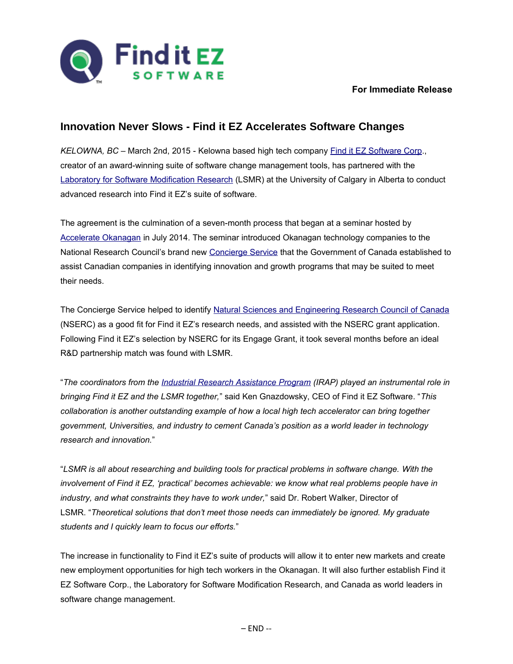

## **For Immediate Release**

## **Innovation Never Slows - Find it EZ Accelerates Software Changes**

*KELOWNA, BC* – March 2nd, 2015 - Kelowna based high tech company [Find it EZ Software Corp.](http://www.finditez.com/), creator of an award-winning suite of software change management tools, has partnered with the [Laboratory for Software Modification Research](http://www.lsmr.org/) (LSMR) at the University of Calgary in Alberta to conduct advanced research into Find it EZ's suite of software.

The agreement is the culmination of a seven-month process that began at a seminar hosted by [Accelerate Okanagan](https://www.accelerateokanagan.com/) in July 2014. The seminar introduced Okanagan technology companies to the National Research Council's brand new [Concierge Service](http://concierge.portal.gc.ca/) that the Government of Canada established to assist Canadian companies in identifying innovation and growth programs that may be suited to meet their needs.

The Concierge Service helped to identify [Natural Sciences and Engineering Research Council of Canada](http://www.nserc-crsng.gc.ca/index_eng.asp) (NSERC) as a good fit for Find it EZ's research needs, and assisted with the NSERC grant application. Following Find it EZ's selection by NSERC for its Engage Grant, it took several months before an ideal R&D partnership match was found with LSMR.

"*The coordinators from the [Industrial Research Assistance Program](http://www.nrc-cnrc.gc.ca/eng/irap/index.html) (IRAP) played an instrumental role in bringing Find it EZ and the LSMR together,*" said Ken Gnazdowsky, CEO of Find it EZ Software. "*This collaboration is another outstanding example of how a local high tech accelerator can bring together government, Universities, and industry to cement Canada's position as a world leader in technology research and innovation.*"

"*LSMR is all about researching and building tools for practical problems in software change. With the involvement of Find it EZ, 'practical' becomes achievable: we know what real problems people have in industry, and what constraints they have to work under,*" said Dr. Robert Walker, Director of LSMR. "*Theoretical solutions that don't meet those needs can immediately be ignored. My graduate students and I quickly learn to focus our efforts.*"

The increase in functionality to Find it EZ's suite of products will allow it to enter new markets and create new employment opportunities for high tech workers in the Okanagan. It will also further establish Find it EZ Software Corp., the Laboratory for Software Modification Research, and Canada as world leaders in software change management.